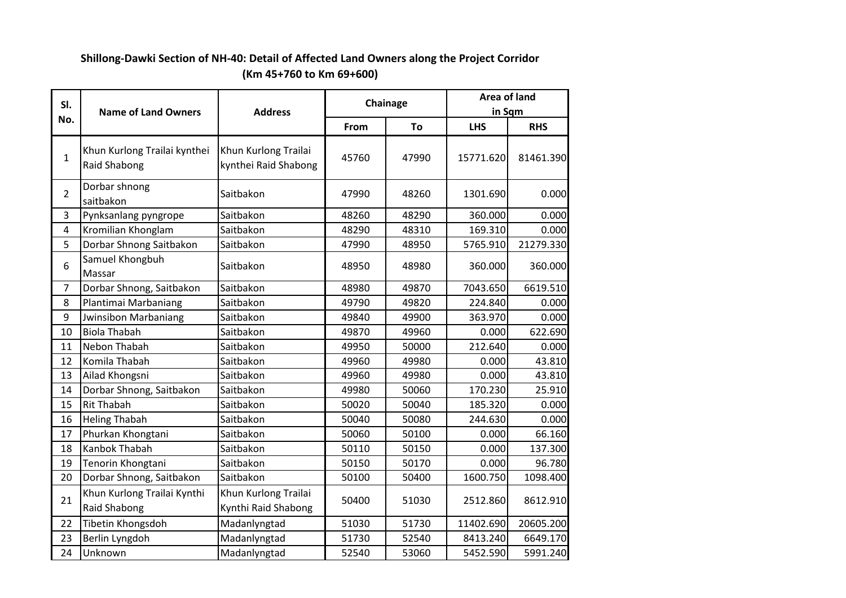| SI.                     | <b>Name of Land Owners</b>                   | <b>Address</b>                               |       | Chainage | Area of land<br>in Sqm |            |
|-------------------------|----------------------------------------------|----------------------------------------------|-------|----------|------------------------|------------|
| No.                     |                                              |                                              | From  | To       | <b>LHS</b>             | <b>RHS</b> |
| $\mathbf{1}$            | Khun Kurlong Trailai kynthei<br>Raid Shabong | Khun Kurlong Trailai<br>kynthei Raid Shabong | 45760 | 47990    | 15771.620              | 81461.390  |
| $\overline{2}$          | Dorbar shnong<br>saitbakon                   | Saitbakon                                    | 47990 | 48260    | 1301.690               | 0.000      |
| 3                       | Pynksanlang pyngrope                         | Saitbakon                                    | 48260 | 48290    | 360.000                | 0.000      |
| $\overline{\mathbf{4}}$ | Kromilian Khonglam                           | Saitbakon                                    | 48290 | 48310    | 169.310                | 0.000      |
| 5                       | Dorbar Shnong Saitbakon                      | Saitbakon                                    | 47990 | 48950    | 5765.910               | 21279.330  |
| 6                       | Samuel Khongbuh<br>Massar                    | Saitbakon                                    | 48950 | 48980    | 360.000                | 360.000    |
| 7                       | Dorbar Shnong, Saitbakon                     | Saitbakon                                    | 48980 | 49870    | 7043.650               | 6619.510   |
| 8                       | Plantimai Marbaniang                         | Saitbakon                                    | 49790 | 49820    | 224.840                | 0.000      |
| 9                       | <b>Jwinsibon Marbaniang</b>                  | Saitbakon                                    | 49840 | 49900    | 363.970                | 0.000      |
| 10                      | <b>Biola Thabah</b>                          | Saitbakon                                    | 49870 | 49960    | 0.000                  | 622.690    |
| 11                      | Nebon Thabah                                 | Saitbakon                                    | 49950 | 50000    | 212.640                | 0.000      |
| 12                      | Komila Thabah                                | Saitbakon                                    | 49960 | 49980    | 0.000                  | 43.810     |
| 13                      | Ailad Khongsni                               | Saitbakon                                    | 49960 | 49980    | 0.000                  | 43.810     |
| 14                      | Dorbar Shnong, Saitbakon                     | Saitbakon                                    | 49980 | 50060    | 170.230                | 25.910     |
| 15                      | <b>Rit Thabah</b>                            | Saitbakon                                    | 50020 | 50040    | 185.320                | 0.000      |
| 16                      | <b>Heling Thabah</b>                         | Saitbakon                                    | 50040 | 50080    | 244.630                | 0.000      |
| 17                      | Phurkan Khongtani                            | Saitbakon                                    | 50060 | 50100    | 0.000                  | 66.160     |
| 18                      | Kanbok Thabah                                | Saitbakon                                    | 50110 | 50150    | 0.000                  | 137.300    |
| 19                      | Tenorin Khongtani                            | Saitbakon                                    | 50150 | 50170    | 0.000                  | 96.780     |
| 20                      | Dorbar Shnong, Saitbakon                     | Saitbakon                                    | 50100 | 50400    | 1600.750               | 1098.400   |
| 21                      | Khun Kurlong Trailai Kynthi<br>Raid Shabong  | Khun Kurlong Trailai<br>Kynthi Raid Shabong  | 50400 | 51030    | 2512.860               | 8612.910   |
| 22                      | Tibetin Khongsdoh                            | Madanlyngtad                                 | 51030 | 51730    | 11402.690              | 20605.200  |
| 23                      | Berlin Lyngdoh                               | Madanlyngtad                                 | 51730 | 52540    | 8413.240               | 6649.170   |
| 24                      | Unknown                                      | Madanlyngtad                                 | 52540 | 53060    | 5452.590               | 5991.240   |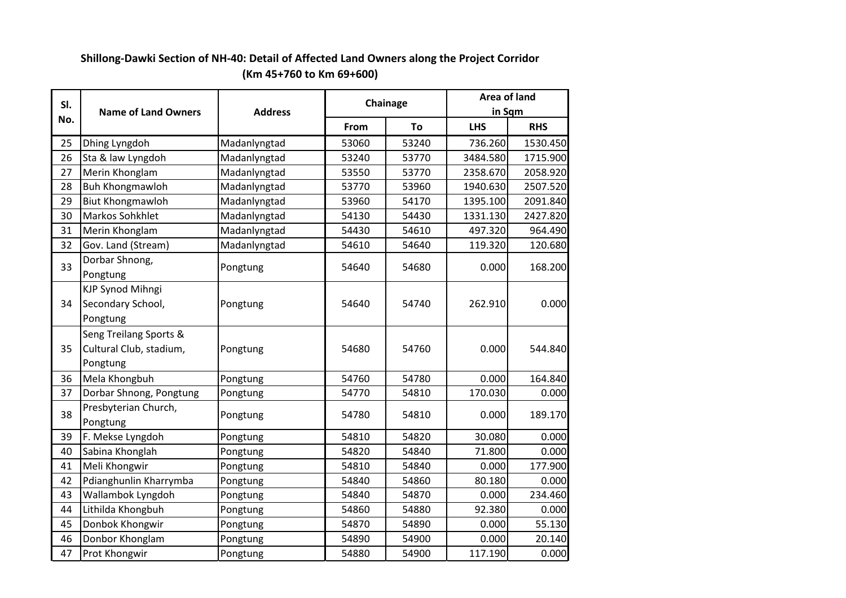| SI. | Chainage                                                      |                | Area of land |        |            |            |
|-----|---------------------------------------------------------------|----------------|--------------|--------|------------|------------|
| No. | <b>Name of Land Owners</b>                                    | <b>Address</b> |              | in Sqm |            |            |
|     |                                                               |                | From         | To     | <b>LHS</b> | <b>RHS</b> |
| 25  | Dhing Lyngdoh                                                 | Madanlyngtad   | 53060        | 53240  | 736.260    | 1530.450   |
| 26  | Sta & law Lyngdoh                                             | Madanlyngtad   | 53240        | 53770  | 3484.580   | 1715.900   |
| 27  | Merin Khonglam                                                | Madanlyngtad   | 53550        | 53770  | 2358.670   | 2058.920   |
| 28  | <b>Buh Khongmawloh</b>                                        | Madanlyngtad   | 53770        | 53960  | 1940.630   | 2507.520   |
| 29  | <b>Biut Khongmawloh</b>                                       | Madanlyngtad   | 53960        | 54170  | 1395.100   | 2091.840   |
| 30  | Markos Sohkhlet                                               | Madanlyngtad   | 54130        | 54430  | 1331.130   | 2427.820   |
| 31  | Merin Khonglam                                                | Madanlyngtad   | 54430        | 54610  | 497.320    | 964.490    |
| 32  | Gov. Land (Stream)                                            | Madanlyngtad   | 54610        | 54640  | 119.320    | 120.680    |
| 33  | Dorbar Shnong,<br>Pongtung                                    | Pongtung       | 54640        | 54680  | 0.000      | 168.200    |
| 34  | <b>KJP Synod Mihngi</b><br>Secondary School,<br>Pongtung      | Pongtung       | 54640        | 54740  | 262.910    | 0.000      |
| 35  | Seng Treilang Sports &<br>Cultural Club, stadium,<br>Pongtung | Pongtung       | 54680        | 54760  | 0.000      | 544.840    |
| 36  | Mela Khongbuh                                                 | Pongtung       | 54760        | 54780  | 0.000      | 164.840    |
| 37  | Dorbar Shnong, Pongtung                                       | Pongtung       | 54770        | 54810  | 170.030    | 0.000      |
| 38  | Presbyterian Church,<br>Pongtung                              | Pongtung       | 54780        | 54810  | 0.000      | 189.170    |
| 39  | F. Mekse Lyngdoh                                              | Pongtung       | 54810        | 54820  | 30.080     | 0.000      |
| 40  | Sabina Khonglah                                               | Pongtung       | 54820        | 54840  | 71.800     | 0.000      |
| 41  | Meli Khongwir                                                 | Pongtung       | 54810        | 54840  | 0.000      | 177.900    |
| 42  | Pdianghunlin Kharrymba                                        | Pongtung       | 54840        | 54860  | 80.180     | 0.000      |
| 43  | Wallambok Lyngdoh                                             | Pongtung       | 54840        | 54870  | 0.000      | 234.460    |
| 44  | Lithilda Khongbuh                                             | Pongtung       | 54860        | 54880  | 92.380     | 0.000      |
| 45  | Donbok Khongwir                                               | Pongtung       | 54870        | 54890  | 0.000      | 55.130     |
| 46  | Donbor Khonglam                                               | Pongtung       | 54890        | 54900  | 0.000      | 20.140     |
| 47  | Prot Khongwir                                                 | Pongtung       | 54880        | 54900  | 117.190    | 0.000      |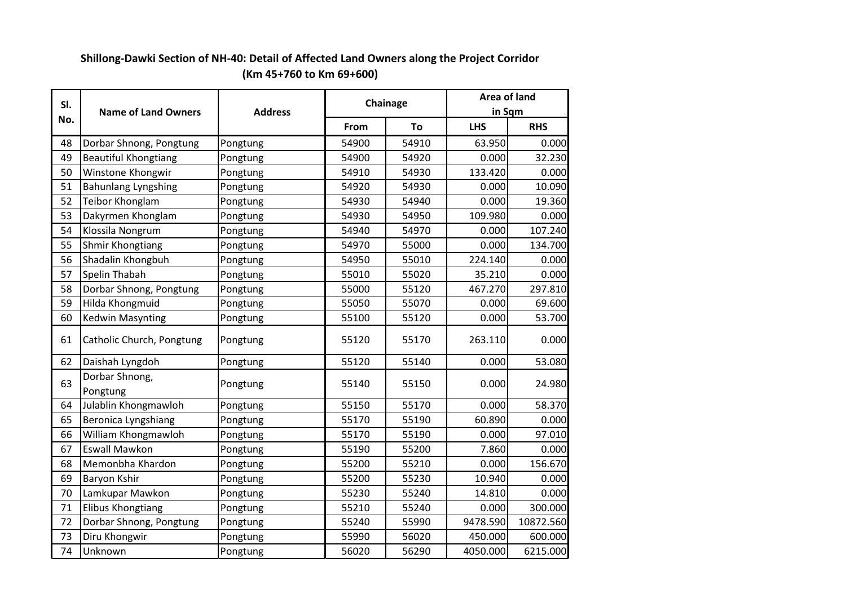| SI. | <b>Name of Land Owners</b>  | <b>Address</b> |       | Chainage | Area of land<br>in Sqm |            |
|-----|-----------------------------|----------------|-------|----------|------------------------|------------|
| No. |                             |                | From  | To       | <b>LHS</b>             | <b>RHS</b> |
| 48  | Dorbar Shnong, Pongtung     | Pongtung       | 54900 | 54910    | 63.950                 | 0.000      |
| 49  | <b>Beautiful Khongtiang</b> | Pongtung       | 54900 | 54920    | 0.000                  | 32.230     |
| 50  | Winstone Khongwir           | Pongtung       | 54910 | 54930    | 133.420                | 0.000      |
| 51  | <b>Bahunlang Lyngshing</b>  | Pongtung       | 54920 | 54930    | 0.000                  | 10.090     |
| 52  | Teibor Khonglam             | Pongtung       | 54930 | 54940    | 0.000                  | 19.360     |
| 53  | Dakyrmen Khonglam           | Pongtung       | 54930 | 54950    | 109.980                | 0.000      |
| 54  | Klossila Nongrum            | Pongtung       | 54940 | 54970    | 0.000                  | 107.240    |
| 55  | Shmir Khongtiang            | Pongtung       | 54970 | 55000    | 0.000                  | 134.700    |
| 56  | Shadalin Khongbuh           | Pongtung       | 54950 | 55010    | 224.140                | 0.000      |
| 57  | Spelin Thabah               | Pongtung       | 55010 | 55020    | 35.210                 | 0.000      |
| 58  | Dorbar Shnong, Pongtung     | Pongtung       | 55000 | 55120    | 467.270                | 297.810    |
| 59  | Hilda Khongmuid             | Pongtung       | 55050 | 55070    | 0.000                  | 69.600     |
| 60  | <b>Kedwin Masynting</b>     | Pongtung       | 55100 | 55120    | 0.000                  | 53.700     |
| 61  | Catholic Church, Pongtung   | Pongtung       | 55120 | 55170    | 263.110                | 0.000      |
| 62  | Daishah Lyngdoh             | Pongtung       | 55120 | 55140    | 0.000                  | 53.080     |
| 63  | Dorbar Shnong,<br>Pongtung  | Pongtung       | 55140 | 55150    | 0.000                  | 24.980     |
| 64  | Julablin Khongmawloh        | Pongtung       | 55150 | 55170    | 0.000                  | 58.370     |
| 65  | Beronica Lyngshiang         | Pongtung       | 55170 | 55190    | 60.890                 | 0.000      |
| 66  | William Khongmawloh         | Pongtung       | 55170 | 55190    | 0.000                  | 97.010     |
| 67  | <b>Eswall Mawkon</b>        | Pongtung       | 55190 | 55200    | 7.860                  | 0.000      |
| 68  | Memonbha Khardon            | Pongtung       | 55200 | 55210    | 0.000                  | 156.670    |
| 69  | Baryon Kshir                | Pongtung       | 55200 | 55230    | 10.940                 | 0.000      |
| 70  | Lamkupar Mawkon             | Pongtung       | 55230 | 55240    | 14.810                 | 0.000      |
| 71  | <b>Elibus Khongtiang</b>    | Pongtung       | 55210 | 55240    | 0.000                  | 300.000    |
| 72  | Dorbar Shnong, Pongtung     | Pongtung       | 55240 | 55990    | 9478.590               | 10872.560  |
| 73  | Diru Khongwir               | Pongtung       | 55990 | 56020    | 450.000                | 600.000    |
| 74  | Unknown                     | Pongtung       | 56020 | 56290    | 4050.000               | 6215.000   |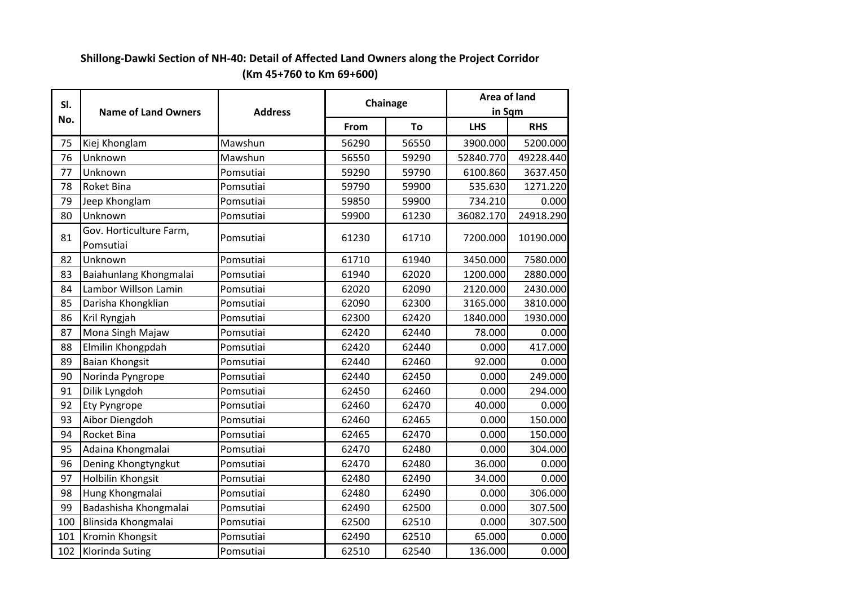| SI. |                                      |                | Chainage | Area of land |                      |            |
|-----|--------------------------------------|----------------|----------|--------------|----------------------|------------|
| No. | <b>Name of Land Owners</b>           | <b>Address</b> | From     | To           | in Sqm<br><b>LHS</b> | <b>RHS</b> |
| 75  | Kiej Khonglam                        | Mawshun        | 56290    | 56550        | 3900.000             | 5200.000   |
| 76  | Unknown                              | Mawshun        | 56550    | 59290        | 52840.770            | 49228.440  |
| 77  | Unknown                              | Pomsutiai      | 59290    | 59790        | 6100.860             | 3637.450   |
| 78  | Roket Bina                           | Pomsutiai      | 59790    | 59900        | 535.630              | 1271.220   |
| 79  | Jeep Khonglam                        | Pomsutiai      | 59850    | 59900        | 734.210              | 0.000      |
| 80  | Unknown                              | Pomsutiai      | 59900    | 61230        | 36082.170            | 24918.290  |
| 81  | Gov. Horticulture Farm,<br>Pomsutiai | Pomsutiai      | 61230    | 61710        | 7200.000             | 10190.000  |
| 82  | Unknown                              | Pomsutiai      | 61710    | 61940        | 3450.000             | 7580.000   |
| 83  | Baiahunlang Khongmalai               | Pomsutiai      | 61940    | 62020        | 1200.000             | 2880.000   |
| 84  | Lambor Willson Lamin                 | Pomsutiai      | 62020    | 62090        | 2120.000             | 2430.000   |
| 85  | Darisha Khongklian                   | Pomsutiai      | 62090    | 62300        | 3165.000             | 3810.000   |
| 86  | Kril Ryngjah                         | Pomsutiai      | 62300    | 62420        | 1840.000             | 1930.000   |
| 87  | Mona Singh Majaw                     | Pomsutiai      | 62420    | 62440        | 78.000               | 0.000      |
| 88  | Elmilin Khongpdah                    | Pomsutiai      | 62420    | 62440        | 0.000                | 417.000    |
| 89  | <b>Baian Khongsit</b>                | Pomsutiai      | 62440    | 62460        | 92.000               | 0.000      |
| 90  | Norinda Pyngrope                     | Pomsutiai      | 62440    | 62450        | 0.000                | 249.000    |
| 91  | Dilik Lyngdoh                        | Pomsutiai      | 62450    | 62460        | 0.000                | 294.000    |
| 92  | <b>Ety Pyngrope</b>                  | Pomsutiai      | 62460    | 62470        | 40.000               | 0.000      |
| 93  | Aibor Diengdoh                       | Pomsutiai      | 62460    | 62465        | 0.000                | 150.000    |
| 94  | <b>Rocket Bina</b>                   | Pomsutiai      | 62465    | 62470        | 0.000                | 150.000    |
| 95  | Adaina Khongmalai                    | Pomsutiai      | 62470    | 62480        | 0.000                | 304.000    |
| 96  | Dening Khongtyngkut                  | Pomsutiai      | 62470    | 62480        | 36.000               | 0.000      |
| 97  | Holbilin Khongsit                    | Pomsutiai      | 62480    | 62490        | 34.000               | 0.000      |
| 98  | Hung Khongmalai                      | Pomsutiai      | 62480    | 62490        | 0.000                | 306.000    |
| 99  | Badashisha Khongmalai                | Pomsutiai      | 62490    | 62500        | 0.000                | 307.500    |
| 100 | Blinsida Khongmalai                  | Pomsutiai      | 62500    | 62510        | 0.000                | 307.500    |
| 101 | Kromin Khongsit                      | Pomsutiai      | 62490    | 62510        | 65.000               | 0.000      |
| 102 | Klorinda Suting                      | Pomsutiai      | 62510    | 62540        | 136.000              | 0.000      |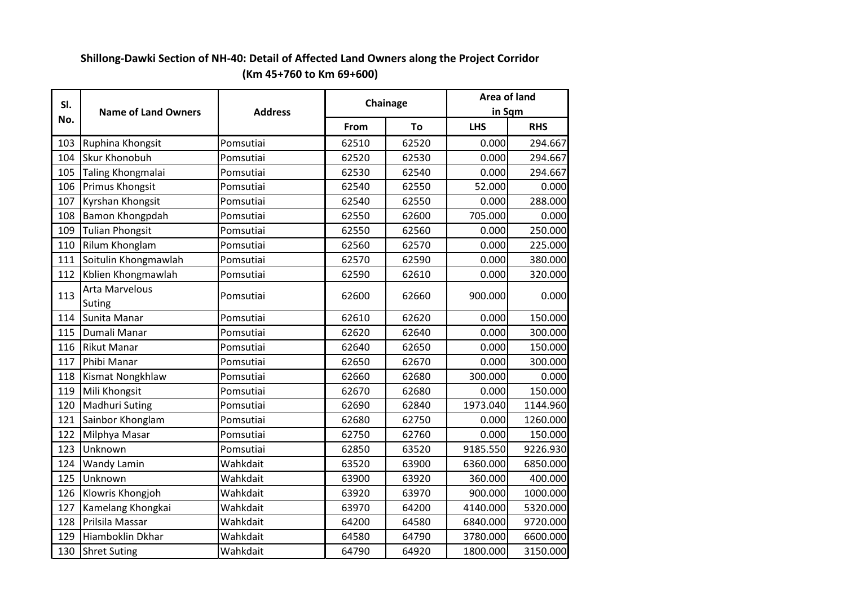| SI. |                            |                | Chainage | Area of land |            |            |
|-----|----------------------------|----------------|----------|--------------|------------|------------|
| No. | <b>Name of Land Owners</b> | <b>Address</b> |          |              | in Sqm     |            |
|     |                            |                | From     | To           | <b>LHS</b> | <b>RHS</b> |
| 103 | Ruphina Khongsit           | Pomsutiai      | 62510    | 62520        | 0.000      | 294.667    |
| 104 | <b>Skur Khonobuh</b>       | Pomsutiai      | 62520    | 62530        | 0.000      | 294.667    |
| 105 | Taling Khongmalai          | Pomsutiai      | 62530    | 62540        | 0.000      | 294.667    |
| 106 | Primus Khongsit            | Pomsutiai      | 62540    | 62550        | 52.000     | 0.000      |
| 107 | Kyrshan Khongsit           | Pomsutiai      | 62540    | 62550        | 0.000      | 288.000    |
| 108 | Bamon Khongpdah            | Pomsutiai      | 62550    | 62600        | 705.000    | 0.000      |
| 109 | <b>Tulian Phongsit</b>     | Pomsutiai      | 62550    | 62560        | 0.000      | 250.000    |
| 110 | Rilum Khonglam             | Pomsutiai      | 62560    | 62570        | 0.000      | 225.000    |
| 111 | Soitulin Khongmawlah       | Pomsutiai      | 62570    | 62590        | 0.000      | 380.000    |
| 112 | Kblien Khongmawlah         | Pomsutiai      | 62590    | 62610        | 0.000      | 320.000    |
| 113 | Arta Marvelous<br>Suting   | Pomsutiai      | 62600    | 62660        | 900.000    | 0.000      |
| 114 | Sunita Manar               | Pomsutiai      | 62610    | 62620        | 0.000      | 150.000    |
| 115 | Dumali Manar               | Pomsutiai      | 62620    | 62640        | 0.000      | 300.000    |
| 116 | <b>Rikut Manar</b>         | Pomsutiai      | 62640    | 62650        | 0.000      | 150.000    |
| 117 | Phibi Manar                | Pomsutiai      | 62650    | 62670        | 0.000      | 300.000    |
| 118 | Kismat Nongkhlaw           | Pomsutiai      | 62660    | 62680        | 300.000    | 0.000      |
| 119 | Mili Khongsit              | Pomsutiai      | 62670    | 62680        | 0.000      | 150.000    |
| 120 | Madhuri Suting             | Pomsutiai      | 62690    | 62840        | 1973.040   | 1144.960   |
| 121 | Sainbor Khonglam           | Pomsutiai      | 62680    | 62750        | 0.000      | 1260.000   |
| 122 | Milphya Masar              | Pomsutiai      | 62750    | 62760        | 0.000      | 150.000    |
| 123 | Unknown                    | Pomsutiai      | 62850    | 63520        | 9185.550   | 9226.930   |
| 124 | Wandy Lamin                | Wahkdait       | 63520    | 63900        | 6360.000   | 6850.000   |
| 125 | Unknown                    | Wahkdait       | 63900    | 63920        | 360.000    | 400.000    |
| 126 | Klowris Khongjoh           | Wahkdait       | 63920    | 63970        | 900.000    | 1000.000   |
| 127 | Kamelang Khongkai          | Wahkdait       | 63970    | 64200        | 4140.000   | 5320.000   |
| 128 | Prilsila Massar            | Wahkdait       | 64200    | 64580        | 6840.000   | 9720.000   |
| 129 | Hiamboklin Dkhar           | Wahkdait       | 64580    | 64790        | 3780.000   | 6600.000   |
| 130 | <b>Shret Suting</b>        | Wahkdait       | 64790    | 64920        | 1800.000   | 3150.000   |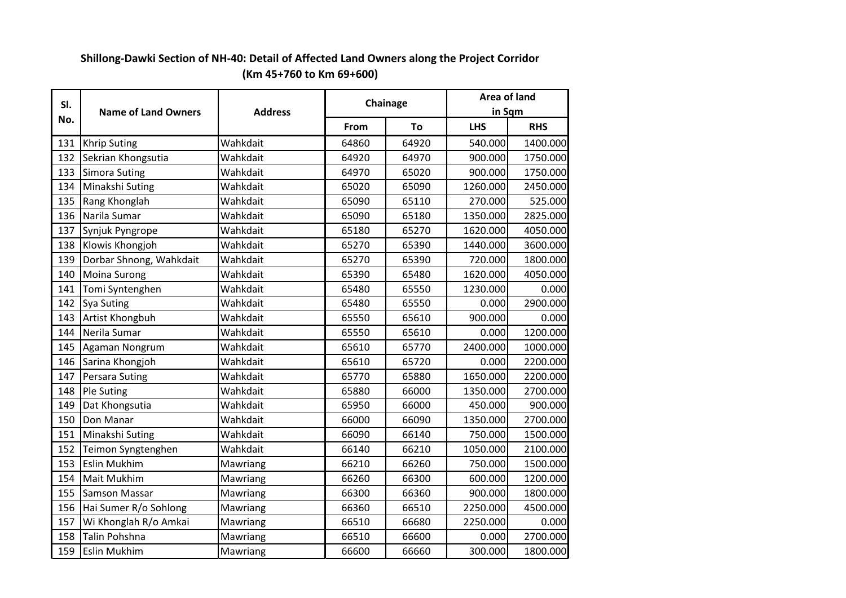| SI. |                            | Chainage       |       | Area of land |            |            |
|-----|----------------------------|----------------|-------|--------------|------------|------------|
| No. | <b>Name of Land Owners</b> | <b>Address</b> |       |              | in Sqm     |            |
|     |                            |                | From  | To           | <b>LHS</b> | <b>RHS</b> |
| 131 | <b>Khrip Suting</b>        | Wahkdait       | 64860 | 64920        | 540.000    | 1400.000   |
| 132 | Sekrian Khongsutia         | Wahkdait       | 64920 | 64970        | 900.000    | 1750.000   |
| 133 | Simora Suting              | Wahkdait       | 64970 | 65020        | 900.000    | 1750.000   |
| 134 | Minakshi Suting            | Wahkdait       | 65020 | 65090        | 1260.000   | 2450.000   |
| 135 | Rang Khonglah              | Wahkdait       | 65090 | 65110        | 270.000    | 525.000    |
| 136 | Narila Sumar               | Wahkdait       | 65090 | 65180        | 1350.000   | 2825.000   |
| 137 | Synjuk Pyngrope            | Wahkdait       | 65180 | 65270        | 1620.000   | 4050.000   |
| 138 | Klowis Khongjoh            | Wahkdait       | 65270 | 65390        | 1440.000   | 3600.000   |
| 139 | Dorbar Shnong, Wahkdait    | Wahkdait       | 65270 | 65390        | 720.000    | 1800.000   |
| 140 | <b>Moina Surong</b>        | Wahkdait       | 65390 | 65480        | 1620.000   | 4050.000   |
| 141 | Tomi Syntenghen            | Wahkdait       | 65480 | 65550        | 1230.000   | 0.000      |
| 142 | <b>Sya Suting</b>          | Wahkdait       | 65480 | 65550        | 0.000      | 2900.000   |
| 143 | Artist Khongbuh            | Wahkdait       | 65550 | 65610        | 900.000    | 0.000      |
| 144 | Nerila Sumar               | Wahkdait       | 65550 | 65610        | 0.000      | 1200.000   |
| 145 | Agaman Nongrum             | Wahkdait       | 65610 | 65770        | 2400.000   | 1000.000   |
| 146 | Sarina Khongjoh            | Wahkdait       | 65610 | 65720        | 0.000      | 2200.000   |
| 147 | Persara Suting             | Wahkdait       | 65770 | 65880        | 1650.000   | 2200.000   |
| 148 | <b>Ple Suting</b>          | Wahkdait       | 65880 | 66000        | 1350.000   | 2700.000   |
| 149 | Dat Khongsutia             | Wahkdait       | 65950 | 66000        | 450.000    | 900.000    |
| 150 | Don Manar                  | Wahkdait       | 66000 | 66090        | 1350.000   | 2700.000   |
| 151 | Minakshi Suting            | Wahkdait       | 66090 | 66140        | 750.000    | 1500.000   |
| 152 | Teimon Syngtenghen         | Wahkdait       | 66140 | 66210        | 1050.000   | 2100.000   |
| 153 | <b>Eslin Mukhim</b>        | Mawriang       | 66210 | 66260        | 750.000    | 1500.000   |
| 154 | <b>Mait Mukhim</b>         | Mawriang       | 66260 | 66300        | 600.000    | 1200.000   |
| 155 | <b>Samson Massar</b>       | Mawriang       | 66300 | 66360        | 900.000    | 1800.000   |
| 156 | Hai Sumer R/o Sohlong      | Mawriang       | 66360 | 66510        | 2250.000   | 4500.000   |
| 157 | Wi Khonglah R/o Amkai      | Mawriang       | 66510 | 66680        | 2250.000   | 0.000      |
| 158 | Talin Pohshna              | Mawriang       | 66510 | 66600        | 0.000      | 2700.000   |
| 159 | <b>Eslin Mukhim</b>        | Mawriang       | 66600 | 66660        | 300.000    | 1800.000   |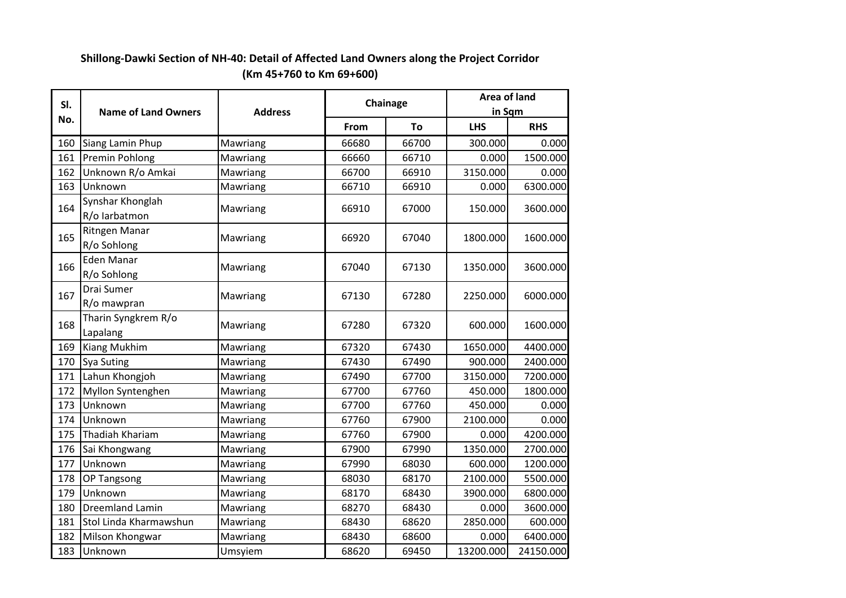| SI. | <b>Name of Land Owners</b>        |          | Chainage<br><b>Address</b> |       | Area of land<br>in Sqm |            |
|-----|-----------------------------------|----------|----------------------------|-------|------------------------|------------|
| No. |                                   |          | From                       | To    | <b>LHS</b>             | <b>RHS</b> |
| 160 | Siang Lamin Phup                  | Mawriang | 66680                      | 66700 | 300.000                | 0.000      |
| 161 | Premin Pohlong                    | Mawriang | 66660                      | 66710 | 0.000                  | 1500.000   |
| 162 | Unknown R/o Amkai                 | Mawriang | 66700                      | 66910 | 3150.000               | 0.000      |
| 163 | Unknown                           | Mawriang | 66710                      | 66910 | 0.000                  | 6300.000   |
| 164 | Synshar Khonglah<br>R/o larbatmon | Mawriang | 66910                      | 67000 | 150.000                | 3600.000   |
| 165 | Ritngen Manar<br>R/o Sohlong      | Mawriang | 66920                      | 67040 | 1800.000               | 1600.000   |
| 166 | Eden Manar<br>R/o Sohlong         | Mawriang | 67040                      | 67130 | 1350.000               | 3600.000   |
| 167 | Drai Sumer<br>R/o mawpran         | Mawriang | 67130                      | 67280 | 2250.000               | 6000.000   |
| 168 | Tharin Syngkrem R/o<br>Lapalang   | Mawriang | 67280                      | 67320 | 600.000                | 1600.000   |
| 169 | Kiang Mukhim                      | Mawriang | 67320                      | 67430 | 1650.000               | 4400.000   |
| 170 | Sya Suting                        | Mawriang | 67430                      | 67490 | 900.000                | 2400.000   |
| 171 | Lahun Khongjoh                    | Mawriang | 67490                      | 67700 | 3150.000               | 7200.000   |
| 172 | Myllon Syntenghen                 | Mawriang | 67700                      | 67760 | 450.000                | 1800.000   |
| 173 | Unknown                           | Mawriang | 67700                      | 67760 | 450.000                | 0.000      |
| 174 | Unknown                           | Mawriang | 67760                      | 67900 | 2100.000               | 0.000      |
| 175 | Thadiah Khariam                   | Mawriang | 67760                      | 67900 | 0.000                  | 4200.000   |
| 176 | Sai Khongwang                     | Mawriang | 67900                      | 67990 | 1350.000               | 2700.000   |
| 177 | Unknown                           | Mawriang | 67990                      | 68030 | 600.000                | 1200.000   |
| 178 | OP Tangsong                       | Mawriang | 68030                      | 68170 | 2100.000               | 5500.000   |
| 179 | Unknown                           | Mawriang | 68170                      | 68430 | 3900.000               | 6800.000   |
| 180 | <b>Dreemland Lamin</b>            | Mawriang | 68270                      | 68430 | 0.000                  | 3600.000   |
| 181 | Stol Linda Kharmawshun            | Mawriang | 68430                      | 68620 | 2850.000               | 600.000    |
| 182 | Milson Khongwar                   | Mawriang | 68430                      | 68600 | 0.000                  | 6400.000   |
| 183 | Unknown                           | Umsyiem  | 68620                      | 69450 | 13200.000              | 24150.000  |